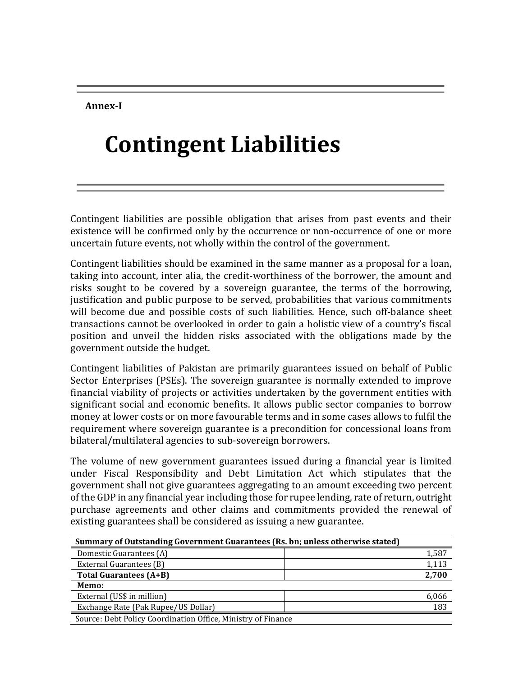**Annex-I**

## **Contingent Liabilities**

Contingent liabilities are possible obligation that arises from past events and their existence will be confirmed only by the occurrence or non-occurrence of one or more uncertain future events, not wholly within the control of the government.

Contingent liabilities should be examined in the same manner as a proposal for a loan, taking into account, inter alia, the credit-worthiness of the borrower, the amount and risks sought to be covered by a sovereign guarantee, the terms of the borrowing, justification and public purpose to be served, probabilities that various commitments will become due and possible costs of such liabilities. Hence, such off-balance sheet transactions cannot be overlooked in order to gain a holistic view of a country's fiscal position and unveil the hidden risks associated with the obligations made by the government outside the budget.

Contingent liabilities of Pakistan are primarily guarantees issued on behalf of Public Sector Enterprises (PSEs). The sovereign guarantee is normally extended to improve financial viability of projects or activities undertaken by the government entities with significant social and economic benefits. It allows public sector companies to borrow money at lower costs or on more favourable terms and in some cases allows to fulfil the requirement where sovereign guarantee is a precondition for concessional loans from bilateral/multilateral agencies to sub-sovereign borrowers.

The volume of new government guarantees issued during a financial year is limited under Fiscal Responsibility and Debt Limitation Act which stipulates that the government shall not give guarantees aggregating to an amount exceeding two percent of the GDP in any financial year including those for rupee lending, rate of return, outright purchase agreements and other claims and commitments provided the renewal of existing guarantees shall be considered as issuing a new guarantee.

| Summary of Outstanding Government Guarantees (Rs. bn; unless otherwise stated) |       |
|--------------------------------------------------------------------------------|-------|
| Domestic Guarantees (A)                                                        | 1,587 |
| External Guarantees (B)                                                        | 1,113 |
| <b>Total Guarantees (A+B)</b>                                                  | 2.700 |
| Memo:                                                                          |       |
| External (US\$ in million)                                                     | 6,066 |
| Exchange Rate (Pak Rupee/US Dollar)                                            | 183   |
| Source: Debt Policy Coordination Office, Ministry of Finance                   |       |